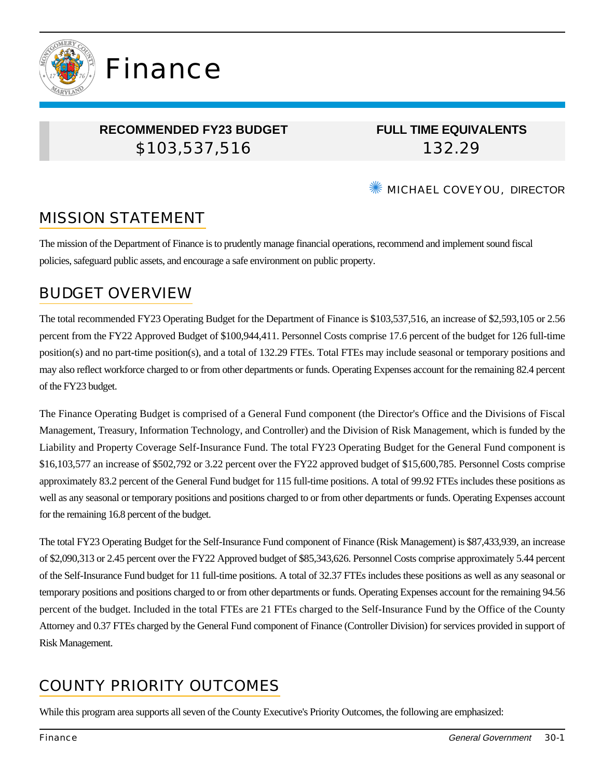

### **RECOMMENDED FY23 BUDGET** \$103,537,516

Finance

**FULL TIME EQUIVALENTS** 132.29

✺ MICHAEL COVEYOU, DIRECTOR

# MISSION STATEMENT

The mission of the Department of Finance is to prudently manage financial operations, recommend and implement sound fiscal policies, safeguard public assets, and encourage a safe environment on public property.

## BUDGET OVERVIEW

The total recommended FY23 Operating Budget for the Department of Finance is \$103,537,516, an increase of \$2,593,105 or 2.56 percent from the FY22 Approved Budget of \$100,944,411. Personnel Costs comprise 17.6 percent of the budget for 126 full-time position(s) and no part-time position(s), and a total of 132.29 FTEs. Total FTEs may include seasonal or temporary positions and may also reflect workforce charged to or from other departments or funds. Operating Expenses account for the remaining 82.4 percent of the FY23 budget.

The Finance Operating Budget is comprised of a General Fund component (the Director's Office and the Divisions of Fiscal Management, Treasury, Information Technology, and Controller) and the Division of Risk Management, which is funded by the Liability and Property Coverage Self-Insurance Fund. The total FY23 Operating Budget for the General Fund component is \$16,103,577 an increase of \$502,792 or 3.22 percent over the FY22 approved budget of \$15,600,785. Personnel Costs comprise approximately 83.2 percent of the General Fund budget for 115 full-time positions. A total of 99.92 FTEs includes these positions as well as any seasonal or temporary positions and positions charged to or from other departments or funds. Operating Expenses account for the remaining 16.8 percent of the budget.

The total FY23 Operating Budget for the Self-Insurance Fund component of Finance (Risk Management) is \$87,433,939, an increase of \$2,090,313 or 2.45 percent over the FY22 Approved budget of \$85,343,626. Personnel Costs comprise approximately 5.44 percent of the Self-Insurance Fund budget for 11 full-time positions. A total of 32.37 FTEs includes these positions as well as any seasonal or temporary positions and positions charged to or from other departments or funds. Operating Expenses account for the remaining 94.56 percent of the budget. Included in the total FTEs are 21 FTEs charged to the Self-Insurance Fund by the Office of the County Attorney and 0.37 FTEs charged by the General Fund component of Finance (Controller Division) for services provided in support of Risk Management.

# COUNTY PRIORITY OUTCOMES

While this program area supports all seven of the County Executive's Priority Outcomes, the following are emphasized: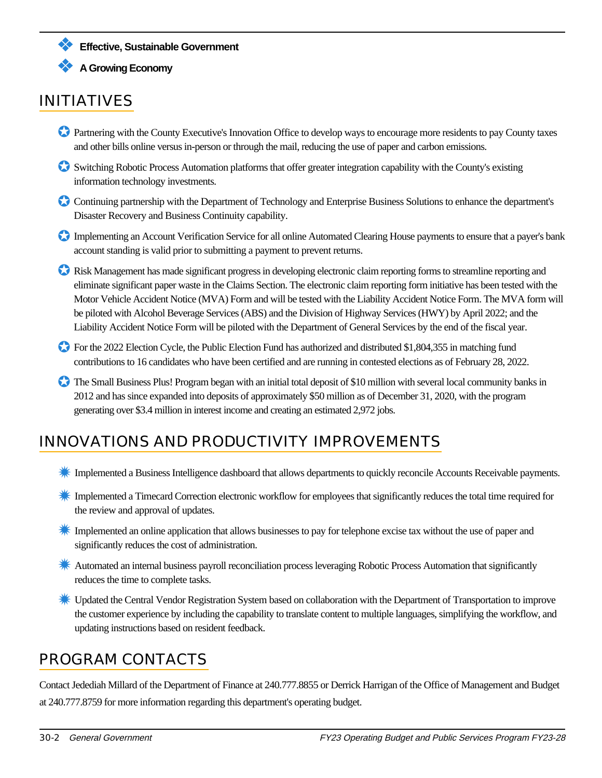

❖ **Effective, Sustainable Government**

#### ❖ **A Growing Economy**

# INITIATIVES

- ✪ Partnering with the County Executive's Innovation Office to develop ways to encourage more residents to pay County taxes and other bills online versus in-person or through the mail, reducing the use of paper and carbon emissions.
- ✪ Switching Robotic Process Automation platforms that offer greater integration capability with the County's existing information technology investments.
- ✪ Continuing partnership with the Department of Technology and Enterprise Business Solutions to enhance the department's Disaster Recovery and Business Continuity capability.
- ✪ Implementing an Account Verification Service for all online Automated Clearing House payments to ensure that a payer's bank account standing is valid prior to submitting a payment to prevent returns.
- ✪ Risk Management has made significant progress in developing electronic claim reporting forms to streamline reporting and eliminate significant paper waste in the Claims Section. The electronic claim reporting form initiative has been tested with the Motor Vehicle Accident Notice (MVA) Form and will be tested with the Liability Accident Notice Form. The MVA form will be piloted with Alcohol Beverage Services (ABS) and the Division of Highway Services (HWY) by April 2022; and the Liability Accident Notice Form will be piloted with the Department of General Services by the end of the fiscal year.
- ✪ For the 2022 Election Cycle, the Public Election Fund has authorized and distributed \$1,804,355 in matching fund contributions to 16 candidates who have been certified and are running in contested elections as of February 28, 2022.
- ✪ The Small Business Plus! Program began with an initial total deposit of \$10 million with several local community banks in 2012 and has since expanded into deposits of approximately \$50 million as of December 31, 2020, with the program generating over \$3.4 million in interest income and creating an estimated 2,972 jobs.

## INNOVATIONS AND PRODUCTIVITY IMPROVEMENTS

- **K** Implemented a Business Intelligence dashboard that allows departments to quickly reconcile Accounts Receivable payments.
- ✹ Implemented a Timecard Correction electronic workflow for employees that significantly reduces the total time required for the review and approval of updates.
- **K** Implemented an online application that allows businesses to pay for telephone excise tax without the use of paper and significantly reduces the cost of administration.
- **K** Automated an internal business payroll reconciliation process leveraging Robotic Process Automation that significantly reduces the time to complete tasks.
- ✹ Updated the Central Vendor Registration System based on collaboration with the Department of Transportation to improve the customer experience by including the capability to translate content to multiple languages, simplifying the workflow, and updating instructions based on resident feedback.

### PROGRAM CONTACTS

Contact Jedediah Millard of the Department of Finance at 240.777.8855 or Derrick Harrigan of the Office of Management and Budget at 240.777.8759 for more information regarding this department's operating budget.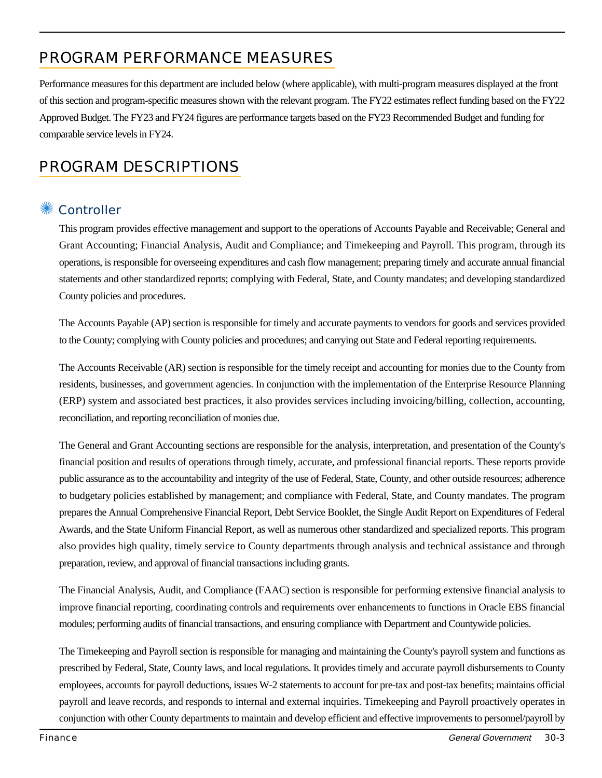# PROGRAM PERFORMANCE MEASURES

Performance measures for this department are included below (where applicable), with multi-program measures displayed at the front of this section and program-specific measures shown with the relevant program. The FY22 estimates reflect funding based on the FY22 Approved Budget. The FY23 and FY24 figures are performance targets based on the FY23 Recommended Budget and funding for comparable service levels in FY24.

# PROGRAM DESCRIPTIONS

### ✺ Controller

This program provides effective management and support to the operations of Accounts Payable and Receivable; General and Grant Accounting; Financial Analysis, Audit and Compliance; and Timekeeping and Payroll. This program, through its operations, is responsible for overseeing expenditures and cash flow management; preparing timely and accurate annual financial statements and other standardized reports; complying with Federal, State, and County mandates; and developing standardized County policies and procedures.

The Accounts Payable (AP) section is responsible for timely and accurate payments to vendors for goods and services provided to the County; complying with County policies and procedures; and carrying out State and Federal reporting requirements.

The Accounts Receivable (AR) section is responsible for the timely receipt and accounting for monies due to the County from residents, businesses, and government agencies. In conjunction with the implementation of the Enterprise Resource Planning (ERP) system and associated best practices, it also provides services including invoicing/billing, collection, accounting, reconciliation, and reporting reconciliation of monies due.

The General and Grant Accounting sections are responsible for the analysis, interpretation, and presentation of the County's financial position and results of operations through timely, accurate, and professional financial reports. These reports provide public assurance as to the accountability and integrity of the use of Federal, State, County, and other outside resources; adherence to budgetary policies established by management; and compliance with Federal, State, and County mandates. The program prepares the Annual Comprehensive Financial Report, Debt Service Booklet, the Single Audit Report on Expenditures of Federal Awards, and the State Uniform Financial Report, as well as numerous other standardized and specialized reports. This program also provides high quality, timely service to County departments through analysis and technical assistance and through preparation, review, and approval of financial transactions including grants.

The Financial Analysis, Audit, and Compliance (FAAC) section is responsible for performing extensive financial analysis to improve financial reporting, coordinating controls and requirements over enhancements to functions in Oracle EBS financial modules; performing audits of financial transactions, and ensuring compliance with Department and Countywide policies.

The Timekeeping and Payroll section is responsible for managing and maintaining the County's payroll system and functions as prescribed by Federal, State, County laws, and local regulations. It provides timely and accurate payroll disbursements to County employees, accounts for payroll deductions, issues W-2 statements to account for pre-tax and post-tax benefits; maintains official payroll and leave records, and responds to internal and external inquiries. Timekeeping and Payroll proactively operates in conjunction with other County departments to maintain and develop efficient and effective improvements to personnel/payroll by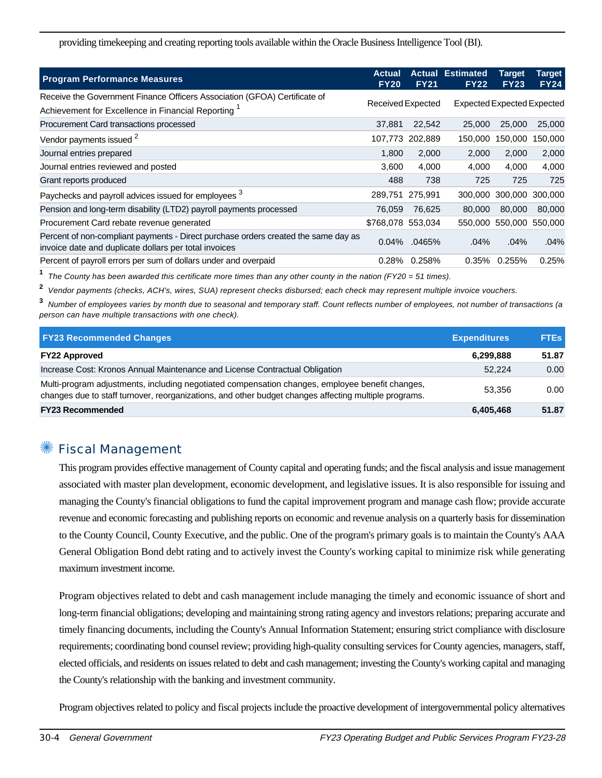providing timekeeping and creating reporting tools available within the Oracle Business Intelligence Tool (BI).

| <b>Program Performance Measures</b>                                                                                                         | <b>Actual</b><br><b>FY20</b> | <b>FY21</b> | <b>Actual Estimated</b><br><b>FY22</b> | <b>Target</b><br><b>FY23</b>      | <b>Target</b><br><b>FY24</b> |
|---------------------------------------------------------------------------------------------------------------------------------------------|------------------------------|-------------|----------------------------------------|-----------------------------------|------------------------------|
| Receive the Government Finance Officers Association (GFOA) Certificate of                                                                   |                              |             |                                        |                                   |                              |
| Achievement for Excellence in Financial Reporting <sup>1</sup>                                                                              | Received Expected            |             |                                        | <b>Expected Expected Expected</b> |                              |
| Procurement Card transactions processed                                                                                                     | 37.881                       | 22,542      | 25,000                                 | 25,000                            | 25,000                       |
| Vendor payments issued <sup>2</sup>                                                                                                         | 107,773                      | 202,889     | 150,000                                | 150,000                           | 150,000                      |
| Journal entries prepared                                                                                                                    | 1.800                        | 2,000       | 2,000                                  | 2,000                             | 2,000                        |
| Journal entries reviewed and posted                                                                                                         | 3,600                        | 4,000       | 4,000                                  | 4,000                             | 4,000                        |
| Grant reports produced                                                                                                                      | 488                          | 738         | 725                                    | 725                               | 725                          |
| Paychecks and payroll advices issued for employees <sup>3</sup>                                                                             | 289,751                      | 275,991     |                                        | 300,000 300,000 300,000           |                              |
| Pension and long-term disability (LTD2) payroll payments processed                                                                          | 76,059                       | 76,625      | 80,000                                 | 80,000                            | 80,000                       |
| Procurement Card rebate revenue generated                                                                                                   | \$768,078 553,034            |             |                                        | 550,000 550,000 550,000           |                              |
| Percent of non-compliant payments - Direct purchase orders created the same day as<br>invoice date and duplicate dollars per total invoices | 0.04%                        | .0465%      | .04%                                   | .04%                              | .04%                         |
| Percent of payroll errors per sum of dollars under and overpaid                                                                             | 0.28%                        | 0.258%      | 0.35%                                  | 0.255%                            | 0.25%                        |

**1** The County has been awarded this certificate more times than any other county in the nation (FY20 = 51 times).

**2** Vendor payments (checks, ACH's, wires, SUA) represent checks disbursed; each check may represent multiple invoice vouchers.

**3** Number of employees varies by month due to seasonal and temporary staff. Count reflects number of employees, not number of transactions (a person can have multiple transactions with one check).

| <b>FY23 Recommended Changes</b>                                                                                                                                                                          | <b>Expenditures</b> | <b>FTEs</b> |
|----------------------------------------------------------------------------------------------------------------------------------------------------------------------------------------------------------|---------------------|-------------|
| <b>FY22 Approved</b>                                                                                                                                                                                     | 6,299,888           | 51.87       |
| Increase Cost: Kronos Annual Maintenance and License Contractual Obligation                                                                                                                              | 52.224              | 0.00        |
| Multi-program adjustments, including negotiated compensation changes, employee benefit changes,<br>changes due to staff turnover, reorganizations, and other budget changes affecting multiple programs. | 53.356              | 0.00        |
| <b>FY23 Recommended</b>                                                                                                                                                                                  | 6,405,468           | 51.87       |

### **Fiscal Management**

This program provides effective management of County capital and operating funds; and the fiscal analysis and issue management associated with master plan development, economic development, and legislative issues. It is also responsible for issuing and managing the County's financial obligations to fund the capital improvement program and manage cash flow; provide accurate revenue and economic forecasting and publishing reports on economic and revenue analysis on a quarterly basis for dissemination to the County Council, County Executive, and the public. One of the program's primary goals is to maintain the County's AAA General Obligation Bond debt rating and to actively invest the County's working capital to minimize risk while generating maximum investment income.

Program objectives related to debt and cash management include managing the timely and economic issuance of short and long-term financial obligations; developing and maintaining strong rating agency and investors relations; preparing accurate and timely financing documents, including the County's Annual Information Statement; ensuring strict compliance with disclosure requirements; coordinating bond counsel review; providing high-quality consulting services for County agencies, managers, staff, elected officials, and residents on issues related to debt and cash management; investing the County's working capital and managing the County's relationship with the banking and investment community.

Program objectives related to policy and fiscal projects include the proactive development of intergovernmental policy alternatives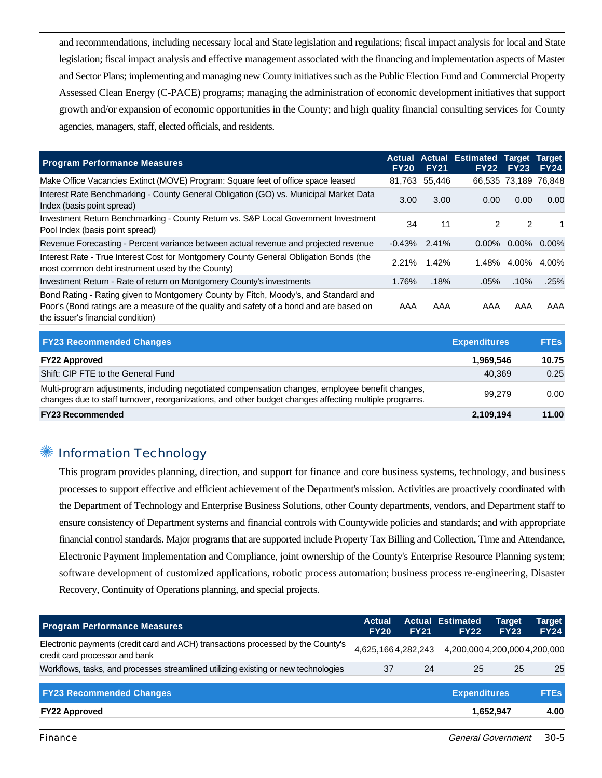and recommendations, including necessary local and State legislation and regulations; fiscal impact analysis for local and State legislation; fiscal impact analysis and effective management associated with the financing and implementation aspects of Master and Sector Plans; implementing and managing new County initiatives such as the Public Election Fund and Commercial Property Assessed Clean Energy (C-PACE) programs; managing the administration of economic development initiatives that support growth and/or expansion of economic opportunities in the County; and high quality financial consulting services for County agencies, managers, staff, elected officials, and residents.

| <b>Program Performance Measures</b>                                                                                                                                                                                 | <b>FY20</b> | <b>FY21</b>   | Actual Actual Estimated Target Target<br><b>FY22</b> | <b>FY23</b>          | <b>FY24</b>    |
|---------------------------------------------------------------------------------------------------------------------------------------------------------------------------------------------------------------------|-------------|---------------|------------------------------------------------------|----------------------|----------------|
| Make Office Vacancies Extinct (MOVE) Program: Square feet of office space leased                                                                                                                                    |             | 81,763 55,446 |                                                      | 66,535 73,189 76,848 |                |
| Interest Rate Benchmarking - County General Obligation (GO) vs. Municipal Market Data<br>Index (basis point spread)                                                                                                 | 3.00        | 3.00          | 0.00                                                 | 0.00                 | 0.00           |
| Investment Return Benchmarking - County Return vs. S&P Local Government Investment<br>Pool Index (basis point spread)                                                                                               | 34          | 11            | 2                                                    | 2                    | 1              |
| Revenue Forecasting - Percent variance between actual revenue and projected revenue                                                                                                                                 | $-0.43%$    | 2.41%         | $0.00\%$                                             |                      | $0.00\%$ 0.00% |
| Interest Rate - True Interest Cost for Montgomery County General Obligation Bonds (the<br>most common debt instrument used by the County)                                                                           | 2.21%       | 1.42%         | 1.48%                                                |                      | 4.00% 4.00%    |
| Investment Return - Rate of return on Montgomery County's investments                                                                                                                                               | 1.76%       | .18%          | $.05\%$                                              | .10%                 | .25%           |
| Bond Rating - Rating given to Montgomery County by Fitch, Moody's, and Standard and<br>Poor's (Bond ratings are a measure of the quality and safety of a bond and are based on<br>the issuer's financial condition) | AAA         | AAA           | AAA                                                  | AAA                  | AAA            |

| <b>FY23 Recommended Changes</b>                                                                                                                                                                          | <b>Expenditures</b> | <b>FTEs</b> |
|----------------------------------------------------------------------------------------------------------------------------------------------------------------------------------------------------------|---------------------|-------------|
| <b>FY22 Approved</b>                                                                                                                                                                                     | 1.969.546           | 10.75       |
| Shift: CIP FTE to the General Fund                                                                                                                                                                       | 40.369              | 0.25        |
| Multi-program adjustments, including negotiated compensation changes, employee benefit changes,<br>changes due to staff turnover, reorganizations, and other budget changes affecting multiple programs. | 99.279              | 0.00        |
| <b>FY23 Recommended</b>                                                                                                                                                                                  | 2,109,194           | 11.00       |

#### **Information Technology**

This program provides planning, direction, and support for finance and core business systems, technology, and business processes to support effective and efficient achievement of the Department's mission. Activities are proactively coordinated with the Department of Technology and Enterprise Business Solutions, other County departments, vendors, and Department staff to ensure consistency of Department systems and financial controls with Countywide policies and standards; and with appropriate financial control standards. Major programs that are supported include Property Tax Billing and Collection, Time and Attendance, Electronic Payment Implementation and Compliance, joint ownership of the County's Enterprise Resource Planning system; software development of customized applications, robotic process automation; business process re-engineering, Disaster Recovery, Continuity of Operations planning, and special projects.

| <b>Program Performance Measures</b>                                                                                | <b>Actual</b><br><b>FY20</b> | <b>FY21</b> | <b>Actual Estimated</b><br><b>FY22</b> | <b>Target</b><br><b>FY23</b> | Target<br><b>FY24</b> |
|--------------------------------------------------------------------------------------------------------------------|------------------------------|-------------|----------------------------------------|------------------------------|-----------------------|
| Electronic payments (credit card and ACH) transactions processed by the County's<br>credit card processor and bank | 4,625,1664,282,243           |             | 4,200,000 4,200,000 4,200,000          |                              |                       |
| Workflows, tasks, and processes streamlined utilizing existing or new technologies                                 | 37                           | 24          | 25                                     | 25                           | 25                    |
| <b>FY23 Recommended Changes</b>                                                                                    |                              |             | <b>Expenditures</b>                    |                              | <b>FTEs</b>           |
| <b>FY22 Approved</b>                                                                                               |                              |             |                                        | 1,652,947                    | 4.00                  |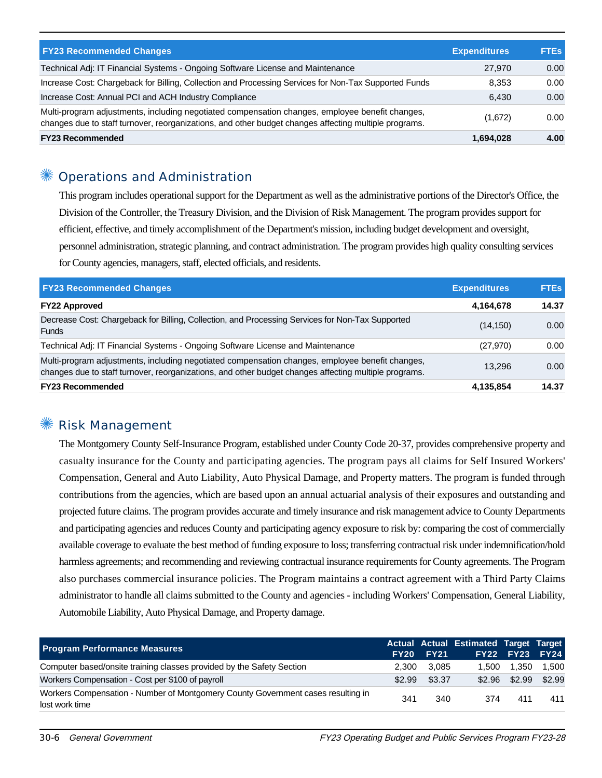| <b>FY23 Recommended Changes</b>                                                                                                                                                                          | <b>Expenditures</b> | <b>FTEs</b> |
|----------------------------------------------------------------------------------------------------------------------------------------------------------------------------------------------------------|---------------------|-------------|
| Technical Adj: IT Financial Systems - Ongoing Software License and Maintenance                                                                                                                           | 27,970              | 0.00        |
| Increase Cost: Chargeback for Billing, Collection and Processing Services for Non-Tax Supported Funds                                                                                                    | 8.353               | 0.00        |
| Increase Cost: Annual PCI and ACH Industry Compliance                                                                                                                                                    | 6.430               | 0.00        |
| Multi-program adjustments, including negotiated compensation changes, employee benefit changes,<br>changes due to staff turnover, reorganizations, and other budget changes affecting multiple programs. | (1,672)             | 0.00        |
| <b>FY23 Recommended</b>                                                                                                                                                                                  | 1,694,028           | 4.00        |

### Operations and Administration

This program includes operational support for the Department as well as the administrative portions of the Director's Office, the Division of the Controller, the Treasury Division, and the Division of Risk Management. The program provides support for efficient, effective, and timely accomplishment of the Department's mission, including budget development and oversight, personnel administration, strategic planning, and contract administration. The program provides high quality consulting services for County agencies, managers, staff, elected officials, and residents.

| <b>FY23 Recommended Changes</b>                                                                                                                                                                          | <b>Expenditures</b> | <b>FTEs</b> |
|----------------------------------------------------------------------------------------------------------------------------------------------------------------------------------------------------------|---------------------|-------------|
| <b>FY22 Approved</b>                                                                                                                                                                                     | 4,164,678           | 14.37       |
| Decrease Cost: Chargeback for Billing, Collection, and Processing Services for Non-Tax Supported<br><b>Funds</b>                                                                                         | (14, 150)           | 0.00        |
| Technical Adj: IT Financial Systems - Ongoing Software License and Maintenance                                                                                                                           | (27, 970)           | 0.00        |
| Multi-program adjustments, including negotiated compensation changes, employee benefit changes,<br>changes due to staff turnover, reorganizations, and other budget changes affecting multiple programs. | 13.296              | 0.00        |
| <b>FY23 Recommended</b>                                                                                                                                                                                  | 4,135,854           | 14.37       |

### ✺ Risk Management

The Montgomery County Self-Insurance Program, established under County Code 20-37, provides comprehensive property and casualty insurance for the County and participating agencies. The program pays all claims for Self Insured Workers' Compensation, General and Auto Liability, Auto Physical Damage, and Property matters. The program is funded through contributions from the agencies, which are based upon an annual actuarial analysis of their exposures and outstanding and projected future claims. The program provides accurate and timely insurance and risk management advice to County Departments and participating agencies and reduces County and participating agency exposure to risk by: comparing the cost of commercially available coverage to evaluate the best method of funding exposure to loss; transferring contractual risk under indemnification/hold harmless agreements; and recommending and reviewing contractual insurance requirements for County agreements. The Program also purchases commercial insurance policies. The Program maintains a contract agreement with a Third Party Claims administrator to handle all claims submitted to the County and agencies - including Workers' Compensation, General Liability, Automobile Liability, Auto Physical Damage, and Property damage.

| <b>Program Performance Measures</b>                                                                | FY20   | <b>FY21</b> | Actual Actual Estimated Target Target | FY22 FY23 FY24 |        |
|----------------------------------------------------------------------------------------------------|--------|-------------|---------------------------------------|----------------|--------|
| Computer based/onsite training classes provided by the Safety Section                              | 2.300  | 3.085       | 1.500                                 | 1.350          | 1.500  |
| Workers Compensation - Cost per \$100 of payroll                                                   | \$2.99 | \$3.37      |                                       | \$2.96 \$2.99  | \$2.99 |
| Workers Compensation - Number of Montgomery County Government cases resulting in<br>lost work time | 341    | 340         | 374                                   | 411            | 411    |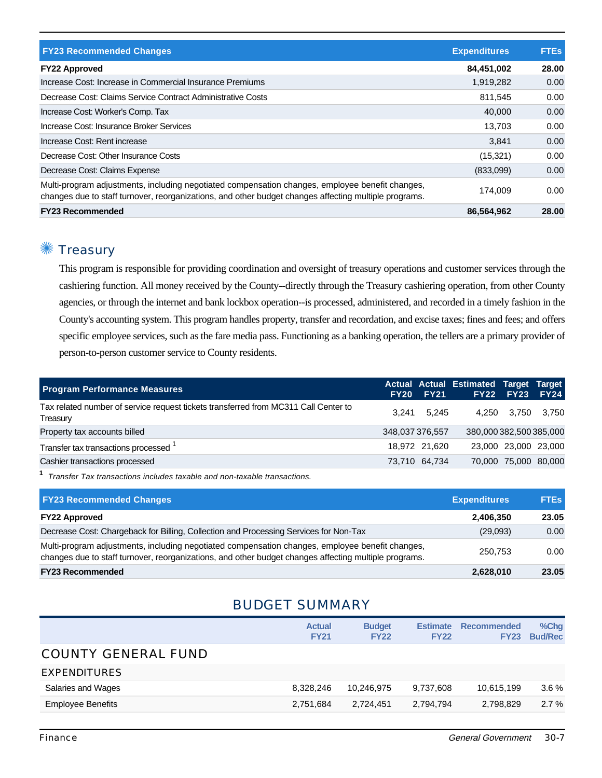| <b>FY23 Recommended Changes</b>                                                                                                                                                                          | <b>Expenditures</b> | <b>FTEs</b> |
|----------------------------------------------------------------------------------------------------------------------------------------------------------------------------------------------------------|---------------------|-------------|
| <b>FY22 Approved</b>                                                                                                                                                                                     | 84,451,002          | 28.00       |
| Increase Cost: Increase in Commercial Insurance Premiums                                                                                                                                                 | 1,919,282           | 0.00        |
| Decrease Cost: Claims Service Contract Administrative Costs                                                                                                                                              | 811.545             | 0.00        |
| Increase Cost: Worker's Comp. Tax                                                                                                                                                                        | 40,000              | 0.00        |
| Increase Cost: Insurance Broker Services                                                                                                                                                                 | 13.703              | 0.00        |
| Increase Cost: Rent increase                                                                                                                                                                             | 3.841               | 0.00        |
| Decrease Cost: Other Insurance Costs                                                                                                                                                                     | (15, 321)           | 0.00        |
| Decrease Cost: Claims Expense                                                                                                                                                                            | (833,099)           | 0.00        |
| Multi-program adjustments, including negotiated compensation changes, employee benefit changes,<br>changes due to staff turnover, reorganizations, and other budget changes affecting multiple programs. | 174.009             | 0.00        |
| <b>FY23 Recommended</b>                                                                                                                                                                                  | 86,564,962          | 28.00       |

## ✺ Treasury

This program is responsible for providing coordination and oversight of treasury operations and customer services through the cashiering function. All money received by the County--directly through the Treasury cashiering operation, from other County agencies, or through the internet and bank lockbox operation--is processed, administered, and recorded in a timely fashion in the County's accounting system. This program handles property, transfer and recordation, and excise taxes; fines and fees; and offers specific employee services, such as the fare media pass. Functioning as a banking operation, the tellers are a primary provider of person-to-person customer service to County residents.

| 3.241 |                                     |                                         | 3.750                                                                                                                                           |
|-------|-------------------------------------|-----------------------------------------|-------------------------------------------------------------------------------------------------------------------------------------------------|
|       |                                     |                                         |                                                                                                                                                 |
|       |                                     |                                         |                                                                                                                                                 |
|       |                                     |                                         |                                                                                                                                                 |
|       | <b>FY20 FY21</b><br>348,037 376,557 | 5.245<br>18.972 21.620<br>73,710 64,734 | Actual Actual Estimated Target Target<br>FY22 FY23 FY24<br>4.250 3.750<br>380,000382,500385,000<br>23.000 23.000 23.000<br>70,000 75,000 80,000 |

**1** Transfer Tax transactions includes taxable and non-taxable transactions.

| <b>FY23 Recommended Changes</b>                                                                                                                                                                          | <b>Expenditures</b> | <b>FTEs</b> |
|----------------------------------------------------------------------------------------------------------------------------------------------------------------------------------------------------------|---------------------|-------------|
| <b>FY22 Approved</b>                                                                                                                                                                                     | 2,406,350           | 23.05       |
| Decrease Cost: Chargeback for Billing, Collection and Processing Services for Non-Tax                                                                                                                    | (29,093)            | 0.00        |
| Multi-program adjustments, including negotiated compensation changes, employee benefit changes,<br>changes due to staff turnover, reorganizations, and other budget changes affecting multiple programs. | 250.753             | 0.00        |
| <b>FY23 Recommended</b>                                                                                                                                                                                  | 2,628,010           | 23.05       |

### BUDGET SUMMARY

|                            | <b>Actual</b><br><b>FY21</b> | <b>Budget</b><br><b>FY22</b> | <b>Estimate</b><br><b>FY22</b> | <b>Recommended</b><br><b>FY23</b> | %Chg<br><b>Bud/Rec</b> |
|----------------------------|------------------------------|------------------------------|--------------------------------|-----------------------------------|------------------------|
| <b>COUNTY GENERAL FUND</b> |                              |                              |                                |                                   |                        |
| <b>EXPENDITURES</b>        |                              |                              |                                |                                   |                        |
| Salaries and Wages         | 8,328,246                    | 10,246,975                   | 9,737,608                      | 10,615,199                        | $3.6\%$                |
| <b>Employee Benefits</b>   | 2,751,684                    | 2.724.451                    | 2,794,794                      | 2.798.829                         | 2.7%                   |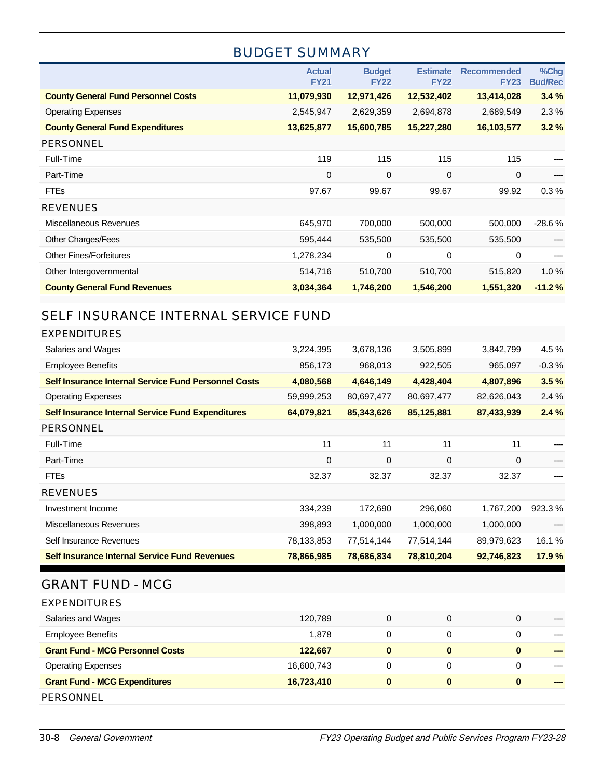### BUDGET SUMMARY

|                                            | <b>Actual</b><br><b>FY21</b> | <b>Budget</b><br><b>FY22</b> | <b>Estimate</b><br><b>FY22</b> | <b>Recommended</b><br><b>FY23</b> | %Chg<br><b>Bud/Rec</b> |
|--------------------------------------------|------------------------------|------------------------------|--------------------------------|-----------------------------------|------------------------|
| <b>County General Fund Personnel Costs</b> | 11,079,930                   | 12,971,426                   | 12,532,402                     | 13,414,028                        | 3.4%                   |
| <b>Operating Expenses</b>                  | 2,545,947                    | 2,629,359                    | 2,694,878                      | 2,689,549                         | 2.3%                   |
| <b>County General Fund Expenditures</b>    | 13,625,877                   | 15,600,785                   | 15,227,280                     | 16,103,577                        | 3.2%                   |
| <b>PERSONNEL</b>                           |                              |                              |                                |                                   |                        |
| Full-Time                                  | 119                          | 115                          | 115                            | 115                               |                        |
| Part-Time                                  | $\mathbf 0$                  | 0                            | 0                              | $\mathbf 0$                       |                        |
| <b>FTEs</b>                                | 97.67                        | 99.67                        | 99.67                          | 99.92                             | 0.3%                   |
| <b>REVENUES</b>                            |                              |                              |                                |                                   |                        |
| Miscellaneous Revenues                     | 645,970                      | 700,000                      | 500,000                        | 500,000                           | $-28.6%$               |
| <b>Other Charges/Fees</b>                  | 595,444                      | 535,500                      | 535,500                        | 535,500                           |                        |
| <b>Other Fines/Forfeitures</b>             | 1,278,234                    | 0                            | 0                              | $\mathbf 0$                       |                        |
| Other Intergovernmental                    | 514,716                      | 510,700                      | 510,700                        | 515,820                           | 1.0%                   |
| <b>County General Fund Revenues</b>        | 3,034,364                    | 1,746,200                    | 1,546,200                      | 1,551,320                         | $-11.2%$               |

### SELF INSURANCE INTERNAL SERVICE FUND

| EXPENDITURES                                                |             |             |            |             |         |
|-------------------------------------------------------------|-------------|-------------|------------|-------------|---------|
| Salaries and Wages                                          | 3,224,395   | 3,678,136   | 3,505,899  | 3,842,799   | 4.5 %   |
| <b>Employee Benefits</b>                                    | 856,173     | 968,013     | 922,505    | 965,097     | $-0.3%$ |
| <b>Self Insurance Internal Service Fund Personnel Costs</b> | 4,080,568   | 4,646,149   | 4,428,404  | 4,807,896   | 3.5%    |
| <b>Operating Expenses</b>                                   | 59,999,253  | 80,697,477  | 80,697,477 | 82,626,043  | 2.4%    |
| <b>Self Insurance Internal Service Fund Expenditures</b>    | 64,079,821  | 85,343,626  | 85,125,881 | 87,433,939  | 2.4%    |
| <b>PERSONNEL</b>                                            |             |             |            |             |         |
| Full-Time                                                   | 11          | 11          | 11         | 11          |         |
| Part-Time                                                   | $\mathbf 0$ | $\mathbf 0$ | 0          | $\mathbf 0$ |         |
| <b>FTEs</b>                                                 | 32.37       | 32.37       | 32.37      | 32.37       |         |
| <b>REVENUES</b>                                             |             |             |            |             |         |
| Investment Income                                           | 334,239     | 172,690     | 296,060    | 1,767,200   | 923.3%  |
| Miscellaneous Revenues                                      | 398,893     | 1,000,000   | 1,000,000  | 1,000,000   |         |
| Self Insurance Revenues                                     | 78,133,853  | 77,514,144  | 77,514,144 | 89,979,623  | 16.1 %  |
| <b>Self Insurance Internal Service Fund Revenues</b>        | 78,866,985  | 78,686,834  | 78,810,204 | 92,746,823  | 17.9 %  |
|                                                             |             |             |            |             |         |

### GRANT FUND - MCG

| <b>EXPENDITURES</b>                     |            |   |          |          |  |
|-----------------------------------------|------------|---|----------|----------|--|
| Salaries and Wages                      | 120,789    | 0 | 0        | 0        |  |
| <b>Employee Benefits</b>                | 1.878      | 0 | 0        | 0        |  |
| <b>Grant Fund - MCG Personnel Costs</b> | 122,667    |   | 0        | $\bf{0}$ |  |
| <b>Operating Expenses</b>               | 16,600,743 | 0 | 0        | 0        |  |
| <b>Grant Fund - MCG Expenditures</b>    | 16,723,410 |   | $\bf{0}$ | $\bf{0}$ |  |
| PERSONNEL                               |            |   |          |          |  |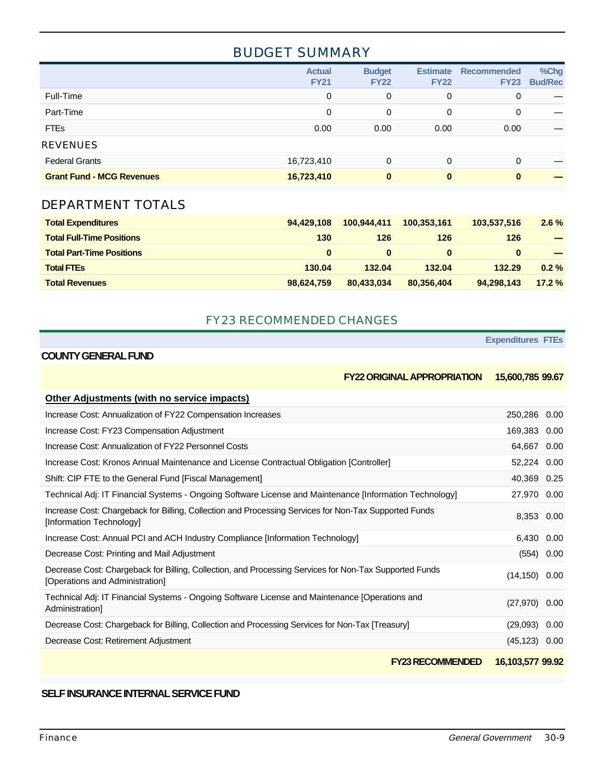### BUDGET SUMMARY

|                                  | <b>Actual</b><br><b>FY21</b> | <b>Budget</b><br><b>FY22</b> | <b>Estimate</b><br><b>FY22</b> | <b>Recommended</b><br><b>FY23</b> | %Chg<br><b>Bud/Rec</b> |
|----------------------------------|------------------------------|------------------------------|--------------------------------|-----------------------------------|------------------------|
| Full-Time                        | $\Omega$                     | 0                            | 0                              | 0                                 |                        |
| Part-Time                        | 0                            | $\Omega$                     | 0                              | 0                                 |                        |
| <b>FTEs</b>                      | 0.00                         | 0.00                         | 0.00                           | 0.00                              |                        |
| <b>REVENUES</b>                  |                              |                              |                                |                                   |                        |
| <b>Federal Grants</b>            | 16,723,410                   | 0                            | 0                              | 0                                 |                        |
| <b>Grant Fund - MCG Revenues</b> | 16,723,410                   | $\bf{0}$                     | 0                              | $\bf{0}$                          |                        |

### DEPARTMENT TOTALS

| <b>Total Expenditures</b>        | 94.429.108 | 100.944.411 | 100.353.161 | 103,537,516 | $2.6\%$  |
|----------------------------------|------------|-------------|-------------|-------------|----------|
| <b>Total Full-Time Positions</b> | 130        | 126         | 126         | 126         |          |
| <b>Total Part-Time Positions</b> | $\Omega$   | 0           | $\bf{0}$    | $\bf{0}$    |          |
| <b>Total FTEs</b>                | 130.04     | 132.04      | 132.04      | 132.29      | $0.2 \%$ |
| <b>Total Revenues</b>            | 98,624,759 | 80,433,034  | 80.356.404  | 94.298.143  | 17.2%    |

#### FY23 RECOMMENDED CHANGES

**Expenditures FTEs**

#### **COUNTY GENERAL FUND**

**FY22 ORIGINAL APPROPRIATION 15,600,785 99.67**

| <b>Other Adjustments (with no service impacts)</b>                                                                                        |                  |      |
|-------------------------------------------------------------------------------------------------------------------------------------------|------------------|------|
| Increase Cost: Annualization of FY22 Compensation Increases                                                                               | 250,286 0.00     |      |
| Increase Cost: FY23 Compensation Adjustment                                                                                               | 169,383          | 0.00 |
| Increase Cost: Annualization of FY22 Personnel Costs                                                                                      | 64,667 0.00      |      |
| Increase Cost: Kronos Annual Maintenance and License Contractual Obligation [Controller]                                                  | 52,224 0.00      |      |
| Shift: CIP FTE to the General Fund [Fiscal Management]                                                                                    | 40,369 0.25      |      |
| Technical Adj: IT Financial Systems - Ongoing Software License and Maintenance [Information Technology]                                   | 27,970 0.00      |      |
| Increase Cost: Chargeback for Billing, Collection and Processing Services for Non-Tax Supported Funds<br>[Information Technology]         | 8,353 0.00       |      |
| Increase Cost: Annual PCI and ACH Industry Compliance [Information Technology]                                                            | 6,430            | 0.00 |
| Decrease Cost: Printing and Mail Adjustment                                                                                               | (554)            | 0.00 |
| Decrease Cost: Chargeback for Billing, Collection, and Processing Services for Non-Tax Supported Funds<br>[Operations and Administration] | $(14, 150)$ 0.00 |      |
| Technical Adj: IT Financial Systems - Ongoing Software License and Maintenance [Operations and<br>Administration                          | $(27,970)$ 0.00  |      |
| Decrease Cost: Chargeback for Billing, Collection and Processing Services for Non-Tax [Treasury]                                          | (29,093)         | 0.00 |
| Decrease Cost: Retirement Adjustment                                                                                                      | $(45, 123)$ 0.00 |      |
| <b>FY23 RECOMMENDED</b>                                                                                                                   | 16,103,577 99.92 |      |

#### **SELF INSURANCE INTERNAL SERVICE FUND**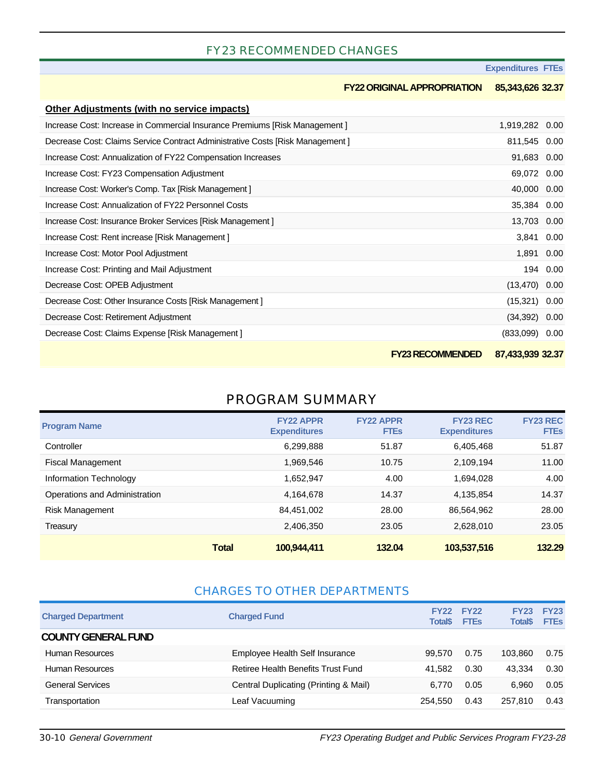#### FY23 RECOMMENDED CHANGES

| <b>Expenditures FTEs</b> |  |  |  |
|--------------------------|--|--|--|
|--------------------------|--|--|--|

|                                                                               | <b>FY22 ORIGINAL APPROPRIATION</b> | 85,343,626 32.37 |      |
|-------------------------------------------------------------------------------|------------------------------------|------------------|------|
| Other Adjustments (with no service impacts)                                   |                                    |                  |      |
| Increase Cost: Increase in Commercial Insurance Premiums [Risk Management]    |                                    | 1,919,282 0.00   |      |
| Decrease Cost: Claims Service Contract Administrative Costs [Risk Management] |                                    | 811,545 0.00     |      |
| Increase Cost: Annualization of FY22 Compensation Increases                   |                                    | 91,683 0.00      |      |
| Increase Cost: FY23 Compensation Adjustment                                   |                                    | 69,072           | 0.00 |
| Increase Cost: Worker's Comp. Tax [Risk Management]                           |                                    | 40,000           | 0.00 |
| Increase Cost: Annualization of FY22 Personnel Costs                          |                                    | 35,384           | 0.00 |
| Increase Cost: Insurance Broker Services [Risk Management]                    |                                    | 13,703           | 0.00 |
| Increase Cost: Rent increase [Risk Management]                                |                                    | 3,841            | 0.00 |
| Increase Cost: Motor Pool Adjustment                                          |                                    | 1,891            | 0.00 |
| Increase Cost: Printing and Mail Adjustment                                   |                                    | 194              | 0.00 |
| Decrease Cost: OPEB Adjustment                                                |                                    | (13, 470)        | 0.00 |
| Decrease Cost: Other Insurance Costs [Risk Management]                        |                                    | (15, 321)        | 0.00 |
| Decrease Cost: Retirement Adjustment                                          |                                    | (34, 392)        | 0.00 |
| Decrease Cost: Claims Expense [Risk Management]                               |                                    | (833,099)        | 0.00 |
|                                                                               | <b>FY23 RECOMMENDED</b>            | 87,433,939 32.37 |      |

### PROGRAM SUMMARY

| <b>Program Name</b>           | <b>FY22 APPR</b><br><b>Expenditures</b> | <b>FY22 APPR</b><br><b>FTEs</b> | <b>FY23 REC</b><br><b>Expenditures</b> | <b>FY23 REC</b><br><b>FTEs</b> |
|-------------------------------|-----------------------------------------|---------------------------------|----------------------------------------|--------------------------------|
| Controller                    | 6,299,888                               | 51.87                           | 6,405,468                              | 51.87                          |
| <b>Fiscal Management</b>      | 1,969,546                               | 10.75                           | 2,109,194                              | 11.00                          |
| Information Technology        | 1.652.947                               | 4.00                            | 1,694,028                              | 4.00                           |
| Operations and Administration | 4,164,678                               | 14.37                           | 4,135,854                              | 14.37                          |
| <b>Risk Management</b>        | 84.451.002                              | 28.00                           | 86,564,962                             | 28.00                          |
| Treasury                      | 2,406,350                               | 23.05                           | 2,628,010                              | 23.05                          |
|                               | <b>Total</b><br>100,944,411             | 132.04                          | 103,537,516                            | 132.29                         |

#### CHARGES TO OTHER DEPARTMENTS

| <b>Charged Department</b>  | <b>Charged Fund</b>                   | <b>FY22</b><br><b>Total\$</b> | <b>FY22</b><br><b>FTEs</b> | <b>FY23</b><br><b>Total\$</b> | <b>FY23</b><br><b>FTEs</b> |
|----------------------------|---------------------------------------|-------------------------------|----------------------------|-------------------------------|----------------------------|
| <b>COUNTY GENERAL FUND</b> |                                       |                               |                            |                               |                            |
| Human Resources            | Employee Health Self Insurance        | 99.570                        | 0.75                       | 103.860                       | 0.75                       |
| Human Resources            | Retiree Health Benefits Trust Fund    | 41.582                        | 0.30                       | 43.334                        | 0.30                       |
| <b>General Services</b>    | Central Duplicating (Printing & Mail) | 6.770                         | 0.05                       | 6.960                         | 0.05                       |
| Transportation             | Leaf Vacuuming                        | 254.550                       | 0.43                       | 257.810                       | 0.43                       |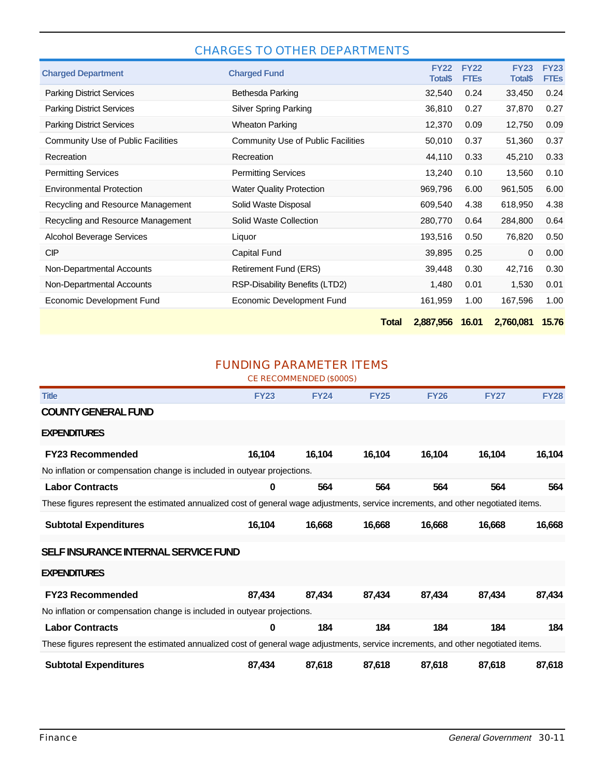#### CHARGES TO OTHER DEPARTMENTS

| <b>Charged Department</b>          | <b>Charged Fund</b>                |              | <b>FY22</b><br><b>Total\$</b> | <b>FY22</b><br><b>FTES</b> | <b>FY23</b><br><b>Total\$</b> | <b>FY23</b><br><b>FTEs</b> |
|------------------------------------|------------------------------------|--------------|-------------------------------|----------------------------|-------------------------------|----------------------------|
| <b>Parking District Services</b>   | Bethesda Parking                   |              | 32,540                        | 0.24                       | 33,450                        | 0.24                       |
| <b>Parking District Services</b>   | <b>Silver Spring Parking</b>       |              | 36,810                        | 0.27                       | 37,870                        | 0.27                       |
| <b>Parking District Services</b>   | <b>Wheaton Parking</b>             |              | 12,370                        | 0.09                       | 12,750                        | 0.09                       |
| Community Use of Public Facilities | Community Use of Public Facilities |              | 50,010                        | 0.37                       | 51,360                        | 0.37                       |
| Recreation                         | Recreation                         |              | 44,110                        | 0.33                       | 45,210                        | 0.33                       |
| <b>Permitting Services</b>         | <b>Permitting Services</b>         |              | 13,240                        | 0.10                       | 13,560                        | 0.10                       |
| <b>Environmental Protection</b>    | <b>Water Quality Protection</b>    |              | 969,796                       | 6.00                       | 961,505                       | 6.00                       |
| Recycling and Resource Management  | Solid Waste Disposal               |              | 609,540                       | 4.38                       | 618,950                       | 4.38                       |
| Recycling and Resource Management  | Solid Waste Collection             |              | 280,770                       | 0.64                       | 284,800                       | 0.64                       |
| <b>Alcohol Beverage Services</b>   | Liquor                             |              | 193,516                       | 0.50                       | 76,820                        | 0.50                       |
| <b>CIP</b>                         | Capital Fund                       |              | 39,895                        | 0.25                       | $\Omega$                      | 0.00                       |
| Non-Departmental Accounts          | Retirement Fund (ERS)              |              | 39,448                        | 0.30                       | 42,716                        | 0.30                       |
| Non-Departmental Accounts          | RSP-Disability Benefits (LTD2)     |              | 1,480                         | 0.01                       | 1,530                         | 0.01                       |
| Economic Development Fund          | Economic Development Fund          |              | 161,959                       | 1.00                       | 167,596                       | 1.00                       |
|                                    |                                    | <b>Total</b> | 2,887,956                     | 16.01                      | 2,760,081                     | 15.76                      |

#### FUNDING PARAMETER ITEMS

CE RECOMMENDED (\$000S)

| <b>Title</b>                                                                                                                       | <b>FY23</b> | <b>FY24</b> | <b>FY25</b> | <b>FY26</b> | <b>FY27</b> | <b>FY28</b> |  |  |  |  |
|------------------------------------------------------------------------------------------------------------------------------------|-------------|-------------|-------------|-------------|-------------|-------------|--|--|--|--|
| <b>COUNTY GENERAL FUND</b>                                                                                                         |             |             |             |             |             |             |  |  |  |  |
| <b>EXPENDITURES</b>                                                                                                                |             |             |             |             |             |             |  |  |  |  |
| <b>FY23 Recommended</b>                                                                                                            | 16,104      | 16,104      | 16,104      | 16,104      | 16,104      | 16,104      |  |  |  |  |
| No inflation or compensation change is included in outyear projections.                                                            |             |             |             |             |             |             |  |  |  |  |
| <b>Labor Contracts</b>                                                                                                             | 0           | 564         | 564         | 564         | 564         | 564         |  |  |  |  |
| These figures represent the estimated annualized cost of general wage adjustments, service increments, and other negotiated items. |             |             |             |             |             |             |  |  |  |  |
| <b>Subtotal Expenditures</b>                                                                                                       | 16,104      | 16,668      | 16,668      | 16,668      | 16,668      | 16,668      |  |  |  |  |
| SELF INSURANCE INTERNAL SERVICE FUND                                                                                               |             |             |             |             |             |             |  |  |  |  |
| <b>EXPENDITURES</b>                                                                                                                |             |             |             |             |             |             |  |  |  |  |
| <b>FY23 Recommended</b>                                                                                                            | 87,434      | 87,434      | 87,434      | 87,434      | 87,434      | 87,434      |  |  |  |  |
| No inflation or compensation change is included in outyear projections.                                                            |             |             |             |             |             |             |  |  |  |  |
| <b>Labor Contracts</b>                                                                                                             | 0           | 184         | 184         | 184         | 184         | 184         |  |  |  |  |
| These figures represent the estimated annualized cost of general wage adjustments, service increments, and other negotiated items. |             |             |             |             |             |             |  |  |  |  |
| <b>Subtotal Expenditures</b>                                                                                                       | 87,434      | 87,618      | 87,618      | 87,618      | 87,618      | 87,618      |  |  |  |  |